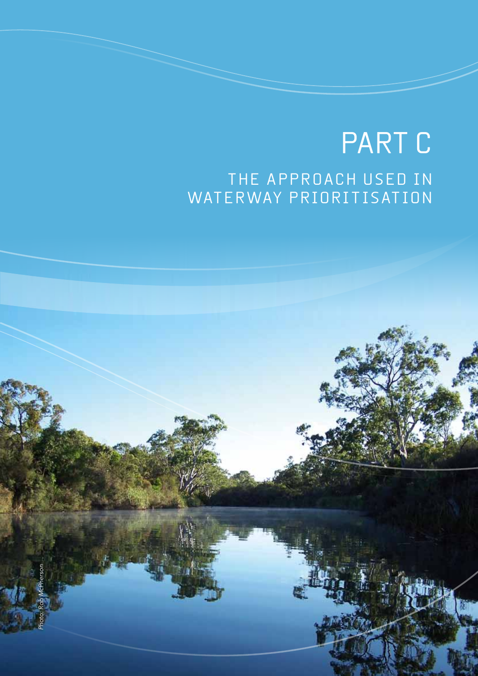# PART C THE APPROACH USED IN WATERWAY PRIORITISATION

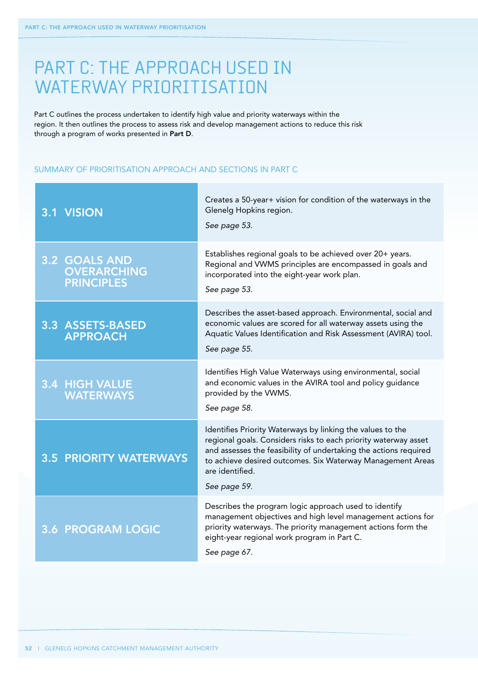## PART C: THE APPROACH USED IN WATERWAY PRIORITISATION

Part C outlines the process undertaken to identify high value and priority waterways within the region. It then outlines the process to assess risk and develop management actions to reduce this risk through a program of works presented in Part D.

### Summary of prioritisation approach and sections in Part C

| 3.1 VISION                                               | Creates a 50-year+ vision for condition of the waterways in the<br>Glenelg Hopkins region.<br>See page 53.                                                                                                                                                                                         |
|----------------------------------------------------------|----------------------------------------------------------------------------------------------------------------------------------------------------------------------------------------------------------------------------------------------------------------------------------------------------|
| 3.2 GOALS AND<br><b>OVERARCHING</b><br><b>PRINCIPLES</b> | Establishes regional goals to be achieved over 20+ years.<br>Regional and VWMS principles are encompassed in goals and<br>incorporated into the eight-year work plan.<br>See page 53.                                                                                                              |
| 3.3 ASSETS-BASED<br><b>APPROACH</b>                      | Describes the asset-based approach. Environmental, social and<br>economic values are scored for all waterway assets using the<br>Aquatic Values Identification and Risk Assessment (AVIRA) tool.<br>See page 55.                                                                                   |
| <b>3.4 HIGH VALUE</b><br><b>WATERWAYS</b>                | Identifies High Value Waterways using environmental, social<br>and economic values in the AVIRA tool and policy guidance<br>provided by the VWMS.<br>See page 58.                                                                                                                                  |
| <b>3.5 PRIORITY WATERWAYS</b>                            | Identifies Priority Waterways by linking the values to the<br>regional goals. Considers risks to each priority waterway asset<br>and assesses the feasibility of undertaking the actions required<br>to achieve desired outcomes. Six Waterway Management Areas<br>are identified.<br>See page 59. |
| <b>3.6 PROGRAM LOGIC</b>                                 | Describes the program logic approach used to identify<br>management objectives and high level management actions for<br>priority waterways. The priority management actions form the<br>eight-year regional work program in Part C.<br>See page 67.                                                |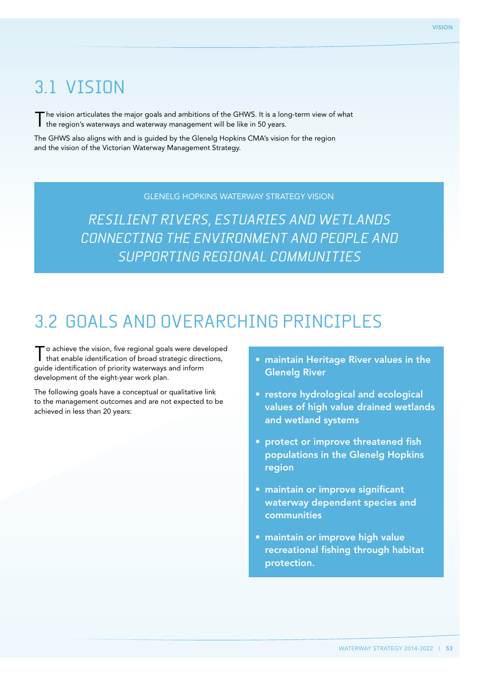## 3.1 Vision

The vision articulates the major goals and ambitions of the GHWS. It is a long-term view of what I the region's waterways and waterway management will be like in 50 years.

The GHWS also aligns with and is guided by the Glenelg Hopkins CMA's vision for the region and the vision of the Victorian Waterway Management Strategy.

## Glenelg Hopkins Waterway Strategy vision

Resilient rivers, estuaries and wetlands connecting the environment and people and supporting regional communities

## 3.2 Goals and overarching principles

To achieve the vision, five regional goals were developed that enable identification of broad strategic directions, guide identification of priority waterways and inform development of the eight-year work plan.

The following goals have a conceptual or qualitative link to the management outcomes and are not expected to be achieved in less than 20 years:

- maintain Heritage River values in the Glenelg River
- restore hydrological and ecological values of high value drained wetlands and wetland systems
- protect or improve threatened fish populations in the Glenelg Hopkins region
- maintain or improve significant waterway dependent species and communities
- maintain or improve high value recreational fishing through habitat protection.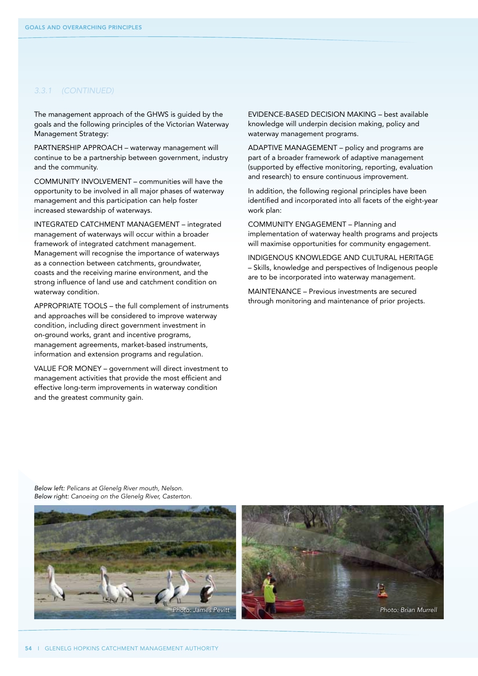### *3.3.1 (CONTINUED)*

The management approach of the GHWS is guided by the goals and the following principles of the Victorian Waterway Management Strategy:

PARTNERSHIP APPROACH – waterway management will continue to be a partnership between government, industry and the community.

Community involvement – communities will have the opportunity to be involved in all major phases of waterway management and this participation can help foster increased stewardship of waterways.

Integrated catchment management – integrated management of waterways will occur within a broader framework of integrated catchment management. Management will recognise the importance of waterways as a connection between catchments, groundwater, coasts and the receiving marine environment, and the strong influence of land use and catchment condition on waterway condition.

APPROPRIATE TOOLS – the full complement of instruments and approaches will be considered to improve waterway condition, including direct government investment in on-ground works, grant and incentive programs, management agreements, market-based instruments, information and extension programs and regulation.

VALUE FOR MONEY – government will direct investment to management activities that provide the most efficient and effective long-term improvements in waterway condition and the greatest community gain.

Evidence-based decision making – best available knowledge will underpin decision making, policy and waterway management programs.

ADAPTIVE MANAGEMENT – policy and programs are part of a broader framework of adaptive management (supported by effective monitoring, reporting, evaluation and research) to ensure continuous improvement.

In addition, the following regional principles have been identified and incorporated into all facets of the eight-year work plan:

Community engagement – Planning and implementation of waterway health programs and projects will maximise opportunities for community engagement.

Indigenous knowledge and cultural heritage – Skills, knowledge and perspectives of Indigenous people are to be incorporated into waterway management.

MAINTENANCE – Previous investments are secured through monitoring and maintenance of prior projects.

*Below left: Pelicans at Glenelg River mouth, Nelson. Below right: Canoeing on the Glenelg River, Casterton.*

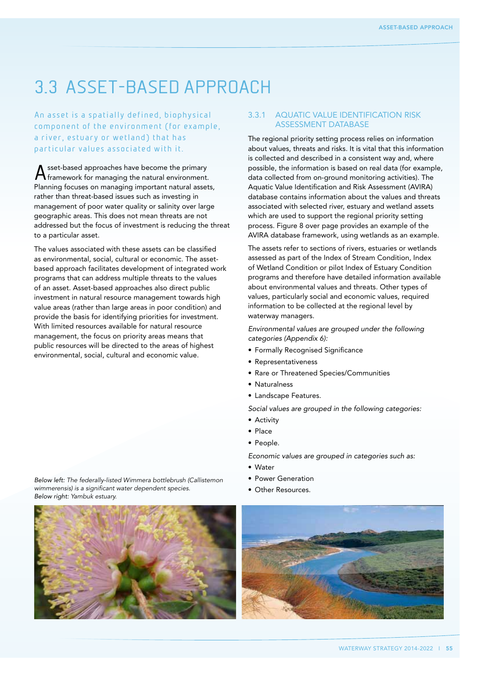## 3.3 Asset-based approach

a river, estuary or wetland) that has particular values associated with it.

Asset-based approaches have become the primary framework for managing the natural environment. Planning focuses on managing important natural assets, rather than threat-based issues such as investing in management of poor water quality or salinity over large geographic areas. This does not mean threats are not addressed but the focus of investment is reducing the threat to a particular asset.

The values associated with these assets can be classified as environmental, social, cultural or economic. The assetbased approach facilitates development of integrated work programs that can address multiple threats to the values of an asset. Asset-based approaches also direct public investment in natural resource management towards high value areas (rather than large areas in poor condition) and provide the basis for identifying priorities for investment. With limited resources available for natural resource management, the focus on priority areas means that public resources will be directed to the areas of highest environmental, social, cultural and economic value.

*Below left: The federally-listed Wimmera bottlebrush (Callistemon wimmerensis) is a significant water dependent species. Below right: Yambuk estuary.*

#### An asset is a spatially defined, biophysical component of the environment (for example, 3.3.1 Aquatic Value Identification Risk The regional priority setting process relies on information

is collected and described in a consistent way and, where possible, the information is based on real data (for example, data collected from on-ground monitoring activities). The Aquatic Value Identification and Risk Assessment (AVIRA) database contains information about the values and threats associated with selected river, estuary and wetland assets

## which are used to support the regional priority setting process. Figure 8 over page provides an example of the AVIRA database framework, using wetlands as an example. The assets refer to sections of rivers, estuaries or wetlands assessed as part of the Index of Stream Condition, Index

of Wetland Condition or pilot Index of Estuary Condition programs and therefore have detailed information available about environmental values and threats. Other types of values, particularly social and economic values, required information to be collected at the regional level by waterway managers.

*Environmental values are grouped under the following categories (Appendix 6):*

- • Formally Recognised Significance
- • Representativeness
- Rare or Threatened Species/Communities

Assessment database

about values, threats and risks. It is vital that this information

- • Naturalness
- • Landscape Features.

*Social values are grouped in the following categories:* 

- Activity
- • Place
- People.

*Economic values are grouped in categories such as:* 

- • Water
- • Power Generation
- Other Resources



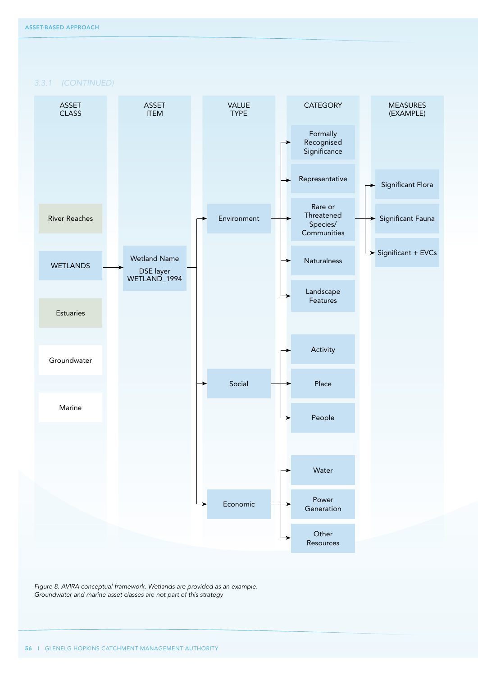*3.3.1 (CONTINUED)*



*Figure 8. AVIRA conceptual framework. Wetlands are provided as an example. Groundwater and marine asset classes are not part of this strategy*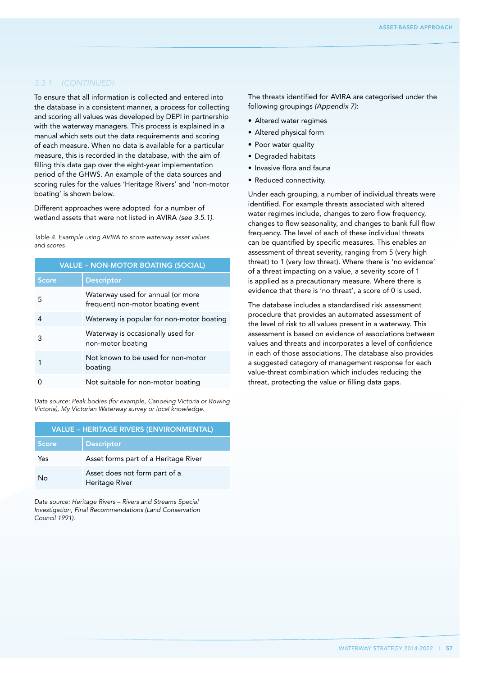### *3.3.1 (CONTINUED)*

To ensure that all information is collected and entered into the database in a consistent manner, a process for collecting and scoring all values was developed by DEPI in partnership with the waterway managers. This process is explained in a manual which sets out the data requirements and scoring of each measure. When no data is available for a particular measure, this is recorded in the database, with the aim of filling this data gap over the eight-year implementation period of the GHWS. An example of the data sources and scoring rules for the values 'Heritage Rivers' and 'non-motor boating' is shown below.

Different approaches were adopted for a number of wetland assets that were not listed in AVIRA *(see 3.5.1)*.

*Table 4. Example using AVIRA to score waterway asset values and scores*

| <b>VALUE - NON-MOTOR BOATING (SOCIAL)</b> |                                                                        |
|-------------------------------------------|------------------------------------------------------------------------|
| <b>Score</b>                              | <b>Descriptor</b>                                                      |
| 5.                                        | Waterway used for annual (or more<br>frequent) non-motor boating event |
| 4                                         | Waterway is popular for non-motor boating                              |
| 3                                         | Waterway is occasionally used for<br>non-motor boating                 |
|                                           | Not known to be used for non-motor<br>boating                          |
|                                           | Not suitable for non-motor boating                                     |

*Data source: Peak bodies (for example, Canoeing Victoria or Rowing Victoria), My Victorian Waterway survey or local knowledge.*

| <b>VALUE - HERITAGE RIVERS (ENVIRONMENTAL)</b> |                                                 |
|------------------------------------------------|-------------------------------------------------|
| <b>Score</b>                                   | <b>Descriptor</b>                               |
| Yes                                            | Asset forms part of a Heritage River            |
| Nο                                             | Asset does not form part of a<br>Heritage River |

*Data source: Heritage Rivers – Rivers and Streams Special Investigation, Final Recommendations (Land Conservation Council 1991).*

The threats identified for AVIRA are categorised under the following groupings *(Appendix 7)*:

- • Altered water regimes
- Altered physical form
- Poor water quality
- • Degraded habitats
- • Invasive flora and fauna
- • Reduced connectivity.

Under each grouping, a number of individual threats were identified. For example threats associated with altered water regimes include, changes to zero flow frequency, changes to flow seasonality, and changes to bank full flow frequency. The level of each of these individual threats can be quantified by specific measures. This enables an assessment of threat severity, ranging from 5 (very high threat) to 1 (very low threat). Where there is 'no evidence' of a threat impacting on a value, a severity score of 1 is applied as a precautionary measure. Where there is evidence that there is 'no threat', a score of 0 is used.

The database includes a standardised risk assessment procedure that provides an automated assessment of the level of risk to all values present in a waterway. This assessment is based on evidence of associations between values and threats and incorporates a level of confidence in each of those associations. The database also provides a suggested category of management response for each value-threat combination which includes reducing the threat, protecting the value or filling data gaps.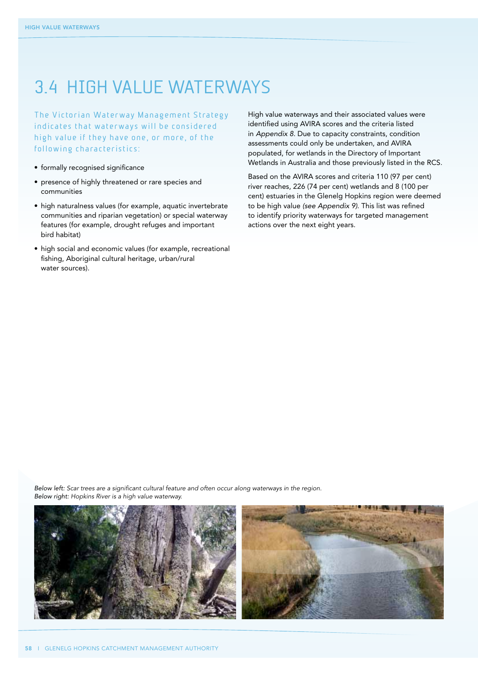## 3.4 High value waterways

The Victorian Waterway Management Strategy indicates that waterways will be considered high value if they have one, or more, of the following characteristics:

- formally recognised significance
- presence of highly threatened or rare species and communities
- high naturalness values (for example, aquatic invertebrate communities and riparian vegetation) or special waterway features (for example, drought refuges and important bird habitat)
- • high social and economic values (for example, recreational fishing, Aboriginal cultural heritage, urban/rural water sources).

High value waterways and their associated values were identified using AVIRA scores and the criteria listed in *Appendix 8*. Due to capacity constraints, condition assessments could only be undertaken, and AVIRA populated, for wetlands in the Directory of Important Wetlands in Australia and those previously listed in the RCS.

Based on the AVIRA scores and criteria 110 (97 per cent) river reaches, 226 (74 per cent) wetlands and 8 (100 per cent) estuaries in the Glenelg Hopkins region were deemed to be high value *(see Appendix 9)*. This list was refined to identify priority waterways for targeted management actions over the next eight years.

*Below left: Scar trees are a significant cultural feature and often occur along waterways in the region. Below right: Hopkins River is a high value waterway.*

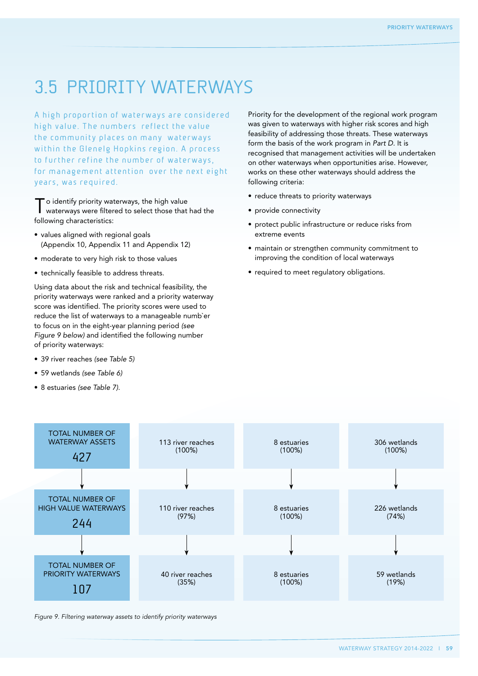## 3.5 Priority waterways

A high proportion of waterways are considered high value. The numbers reflect the value the community places on many waterways within the Glenelg Hopkins region. A process to further refine the number of waterways, for management attention over the next eight years, was required.

o identify priority waterways, the high value waterways were filtered to select those that had the following characteristics:

- values aligned with regional goals (Appendix 10, Appendix 11 and Appendix 12)
- moderate to very high risk to those values
- technically feasible to address threats.

Using data about the risk and technical feasibility, the priority waterways were ranked and a priority waterway score was identified. The priority scores were used to reduce the list of waterways to a manageable numb`er to focus on in the eight-year planning period *(see Figure 9 below)* and identified the following number of priority waterways:

- • 39 river reaches *(see Table 5)*
- • 59 wetlands *(see Table 6)*
- • 8 estuaries *(see Table 7)*.

Priority for the development of the regional work program was given to waterways with higher risk scores and high feasibility of addressing those threats. These waterways form the basis of the work program in *Part D*. It is recognised that management activities will be undertaken on other waterways when opportunities arise. However, works on these other waterways should address the following criteria:

- reduce threats to priority waterways
- provide connectivity
- protect public infrastructure or reduce risks from extreme events
- maintain or strengthen community commitment to improving the condition of local waterways
- required to meet regulatory obligations.



*Figure 9. Filtering waterway assets to identify priority waterways*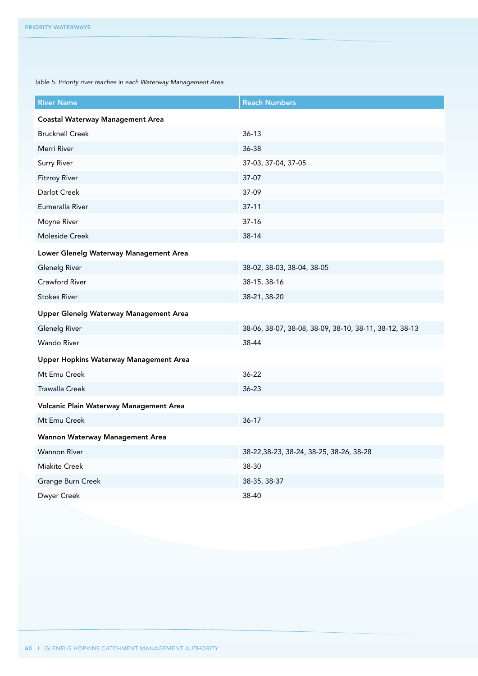*Table 5. Priority river reaches in each Waterway Management Area*

| <b>River Name</b>                       | <b>Reach Numbers</b>                                   |  |
|-----------------------------------------|--------------------------------------------------------|--|
| <b>Coastal Waterway Management Area</b> |                                                        |  |
| <b>Brucknell Creek</b>                  | $36-13$                                                |  |
| Merri River                             | 36-38                                                  |  |
| <b>Surry River</b>                      | 37-03, 37-04, 37-05                                    |  |
| <b>Fitzroy River</b>                    | 37-07                                                  |  |
| Darlot Creek                            | 37-09                                                  |  |
| Eumeralla River                         | $37-11$                                                |  |
| Moyne River                             | $37-16$                                                |  |
| Moleside Creek                          | 38-14                                                  |  |
| Lower Glenelg Waterway Management Area  |                                                        |  |
| <b>Glenelg River</b>                    | 38-02, 38-03, 38-04, 38-05                             |  |
| Crawford River                          | 38-15, 38-16                                           |  |
| <b>Stokes River</b>                     | 38-21, 38-20                                           |  |
| Upper Glenelg Waterway Management Area  |                                                        |  |
| <b>Glenelg River</b>                    | 38-06, 38-07, 38-08, 38-09, 38-10, 38-11, 38-12, 38-13 |  |
| <b>Wando River</b>                      | 38-44                                                  |  |
| Upper Hopkins Waterway Management Area  |                                                        |  |
| Mt Emu Creek                            | $36 - 22$                                              |  |
| <b>Trawalla Creek</b>                   | $36 - 23$                                              |  |
| Volcanic Plain Waterway Management Area |                                                        |  |
| Mt Emu Creek                            | $36 - 17$                                              |  |
| Wannon Waterway Management Area         |                                                        |  |
| <b>Wannon River</b>                     | 38-22, 38-23, 38-24, 38-25, 38-26, 38-28               |  |
| <b>Miakite Creek</b>                    | 38-30                                                  |  |
| Grange Burn Creek                       | 38-35, 38-37                                           |  |
| Dwyer Creek                             | 38-40                                                  |  |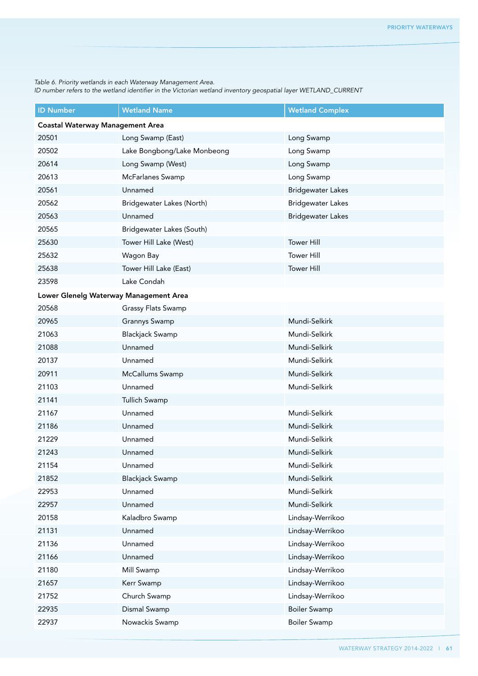*Table 6. Priority wetlands in each Waterway Management Area.* 

*ID number refers to the wetland identifier in the Victorian wetland inventory geospatial layer WETLAND\_CURRENT*

| <b>ID Number</b>                        | <b>Wetland Name</b>         | <b>Wetland Complex</b>   |
|-----------------------------------------|-----------------------------|--------------------------|
| <b>Coastal Waterway Management Area</b> |                             |                          |
| 20501                                   | Long Swamp (East)           | Long Swamp               |
| 20502                                   | Lake Bongbong/Lake Monbeong | Long Swamp               |
| 20614                                   | Long Swamp (West)           | Long Swamp               |
| 20613                                   | McFarlanes Swamp            | Long Swamp               |
| 20561                                   | Unnamed                     | <b>Bridgewater Lakes</b> |
| 20562                                   | Bridgewater Lakes (North)   | <b>Bridgewater Lakes</b> |
| 20563                                   | Unnamed                     | <b>Bridgewater Lakes</b> |
| 20565                                   | Bridgewater Lakes (South)   |                          |
| 25630                                   | Tower Hill Lake (West)      | <b>Tower Hill</b>        |
| 25632                                   | Wagon Bay                   | <b>Tower Hill</b>        |
| 25638                                   | Tower Hill Lake (East)      | <b>Tower Hill</b>        |
| 23598                                   | Lake Condah                 |                          |
| Lower Glenelg Waterway Management Area  |                             |                          |
| 20568                                   | Grassy Flats Swamp          |                          |
| 20965                                   | Grannys Swamp               | Mundi-Selkirk            |
| 21063                                   | <b>Blackjack Swamp</b>      | Mundi-Selkirk            |
| 21088                                   | Unnamed                     | Mundi-Selkirk            |
| 20137                                   | Unnamed                     | Mundi-Selkirk            |
| 20911                                   | McCallums Swamp             | Mundi-Selkirk            |
| 21103                                   | Unnamed                     | Mundi-Selkirk            |
| 21141                                   | Tullich Swamp               |                          |
| 21167                                   | Unnamed                     | Mundi-Selkirk            |
| 21186                                   | Unnamed                     | Mundi-Selkirk            |
| 21229                                   | Unnamed                     | Mundi-Selkirk            |
| 21243                                   | Unnamed                     | Mundi-Selkirk            |
| 21154                                   | Unnamed                     | Mundi-Selkirk            |
| 21852                                   | <b>Blackjack Swamp</b>      | Mundi-Selkirk            |
| 22953                                   | Unnamed                     | Mundi-Selkirk            |
| 22957                                   | Unnamed                     | Mundi-Selkirk            |
| 20158                                   | Kaladbro Swamp              | Lindsay-Werrikoo         |
| 21131                                   | Unnamed                     | Lindsay-Werrikoo         |
| 21136                                   | Unnamed                     | Lindsay-Werrikoo         |
| 21166                                   | Unnamed                     | Lindsay-Werrikoo         |
| 21180                                   | Mill Swamp                  | Lindsay-Werrikoo         |
| 21657                                   | Kerr Swamp                  | Lindsay-Werrikoo         |
| 21752                                   | Church Swamp                | Lindsay-Werrikoo         |
| 22935                                   | Dismal Swamp                | <b>Boiler Swamp</b>      |
| 22937                                   | Nowackis Swamp              | <b>Boiler Swamp</b>      |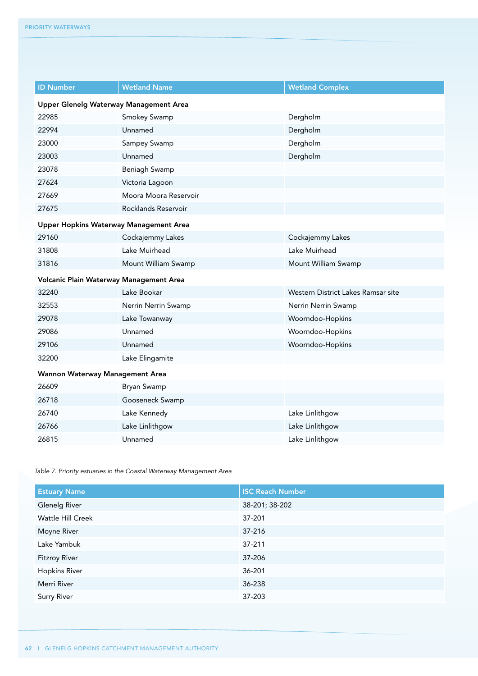| <b>ID Number</b>                        | <b>Wetland Name</b>   | <b>Wetland Complex</b>             |  |
|-----------------------------------------|-----------------------|------------------------------------|--|
| Upper Glenelg Waterway Management Area  |                       |                                    |  |
| 22985                                   | Smokey Swamp          | Dergholm                           |  |
| 22994                                   | Unnamed               | Dergholm                           |  |
| 23000                                   | Sampey Swamp          | Dergholm                           |  |
| 23003                                   | Unnamed               | Dergholm                           |  |
| 23078                                   | Beniagh Swamp         |                                    |  |
| 27624                                   | Victoria Lagoon       |                                    |  |
| 27669                                   | Moora Moora Reservoir |                                    |  |
| 27675                                   | Rocklands Reservoir   |                                    |  |
| Upper Hopkins Waterway Management Area  |                       |                                    |  |
| 29160                                   | Cockajemmy Lakes      | Cockajemmy Lakes                   |  |
| 31808                                   | Lake Muirhead         | Lake Muirhead                      |  |
| 31816                                   | Mount William Swamp   | Mount William Swamp                |  |
| Volcanic Plain Waterway Management Area |                       |                                    |  |
| 32240                                   | Lake Bookar           | Western District Lakes Ramsar site |  |
| 32553                                   | Nerrin Nerrin Swamp   | Nerrin Nerrin Swamp                |  |
| 29078                                   | Lake Towanway         | Woorndoo-Hopkins                   |  |
| 29086                                   | Unnamed               | Woorndoo-Hopkins                   |  |
| 29106                                   | Unnamed               | Woorndoo-Hopkins                   |  |
| 32200                                   | Lake Elingamite       |                                    |  |
| Wannon Waterway Management Area         |                       |                                    |  |
| 26609                                   | Bryan Swamp           |                                    |  |
| 26718                                   | Gooseneck Swamp       |                                    |  |
| 26740                                   | Lake Kennedy          | Lake Linlithgow                    |  |
| 26766                                   | Lake Linlithgow       | Lake Linlithgow                    |  |
| 26815                                   | Unnamed               | Lake Linlithgow                    |  |

*Table 7. Priority estuaries in the Coastal Waterway Management Area*

| <b>Estuary Name</b>  | <b>ISC Reach Number</b> |
|----------------------|-------------------------|
| Glenelg River        | 38-201; 38-202          |
| Wattle Hill Creek    | 37-201                  |
| Moyne River          | $37 - 216$              |
| Lake Yambuk          | 37-211                  |
| <b>Fitzroy River</b> | 37-206                  |
| <b>Hopkins River</b> | 36-201                  |
| Merri River          | 36-238                  |
| Surry River          | 37-203                  |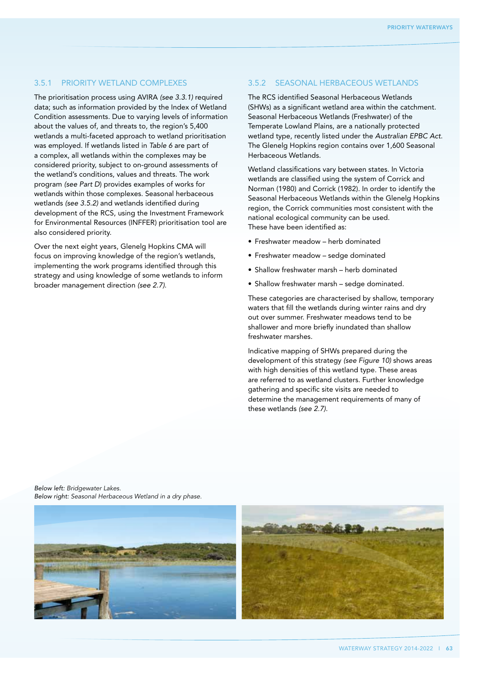### 3.5.1 Priority wetland complexes

The prioritisation process using AVIRA *(see 3.3.1)* required data; such as information provided by the Index of Wetland Condition assessments. Due to varying levels of information about the values of, and threats to, the region's 5,400 wetlands a multi-faceted approach to wetland prioritisation was employed. If wetlands listed in *Table 6* are part of a complex, all wetlands within the complexes may be considered priority, subject to on-ground assessments of the wetland's conditions, values and threats. The work program *(see Part D*) provides examples of works for wetlands within those complexes. Seasonal herbaceous wetlands *(see 3.5.2)* and wetlands identified during development of the RCS, using the Investment Framework for Environmental Resources (INFFER) prioritisation tool are also considered priority.

Over the next eight years, Glenelg Hopkins CMA will focus on improving knowledge of the region's wetlands, implementing the work programs identified through this strategy and using knowledge of some wetlands to inform broader management direction *(see 2.7)*.

### 3.5.2 Seasonal Herbaceous Wetlands

The RCS identified Seasonal Herbaceous Wetlands (SHWs) as a significant wetland area within the catchment. Seasonal Herbaceous Wetlands (Freshwater) of the Temperate Lowland Plains, are a nationally protected wetland type, recently listed under the *Australian EPBC Act*. The Glenelg Hopkins region contains over 1,600 Seasonal Herbaceous Wetlands.

Wetland classifications vary between states. In Victoria wetlands are classified using the system of Corrick and Norman (1980) and Corrick (1982). In order to identify the Seasonal Herbaceous Wetlands within the Glenelg Hopkins region, the Corrick communities most consistent with the national ecological community can be used. These have been identified as:

- Freshwater meadow herb dominated
- Freshwater meadow sedge dominated
- Shallow freshwater marsh herb dominated
- Shallow freshwater marsh sedge dominated.

These categories are characterised by shallow, temporary waters that fill the wetlands during winter rains and dry out over summer. Freshwater meadows tend to be shallower and more briefly inundated than shallow freshwater marshes.

Indicative mapping of SHWs prepared during the development of this strategy *(see Figure 10)* shows areas with high densities of this wetland type. These areas are referred to as wetland clusters. Further knowledge gathering and specific site visits are needed to determine the management requirements of many of these wetlands *(see 2.7).*

*Below left: Bridgewater Lakes. Below right: Seasonal Herbaceous Wetland in a dry phase.*



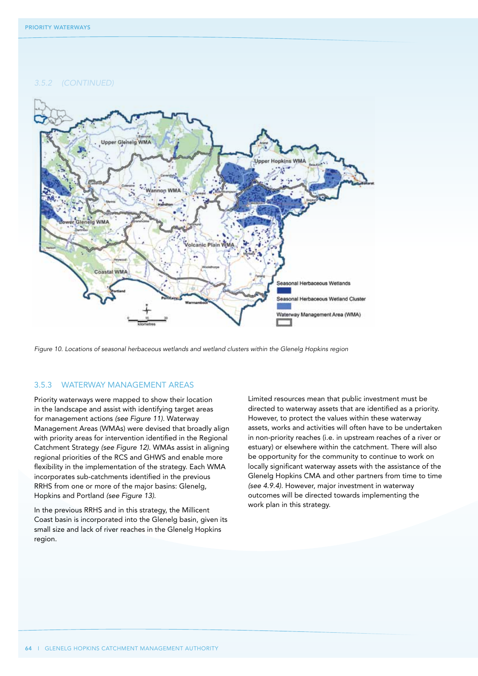*3.5.2 (Continued)*



*Figure 10. Locations of seasonal herbaceous wetlands and wetland clusters within the Glenelg Hopkins region*

### 3.5.3 Waterway management areas

Priority waterways were mapped to show their location in the landscape and assist with identifying target areas for management actions *(see Figure 11)*. Waterway Management Areas (WMAs) were devised that broadly align with priority areas for intervention identified in the Regional Catchment Strategy *(see Figure 12)*. WMAs assist in aligning regional priorities of the RCS and GHWS and enable more flexibility in the implementation of the strategy. Each WMA incorporates sub-catchments identified in the previous RRHS from one or more of the major basins: Glenelg, Hopkins and Portland *(see Figure 13)*.

In the previous RRHS and in this strategy, the Millicent Coast basin is incorporated into the Glenelg basin, given its small size and lack of river reaches in the Glenelg Hopkins region.

Limited resources mean that public investment must be directed to waterway assets that are identified as a priority. However, to protect the values within these waterway assets, works and activities will often have to be undertaken in non-priority reaches (i.e. in upstream reaches of a river or estuary) or elsewhere within the catchment. There will also be opportunity for the community to continue to work on locally significant waterway assets with the assistance of the Glenelg Hopkins CMA and other partners from time to time *(see 4.9.4).* However, major investment in waterway outcomes will be directed towards implementing the work plan in this strategy.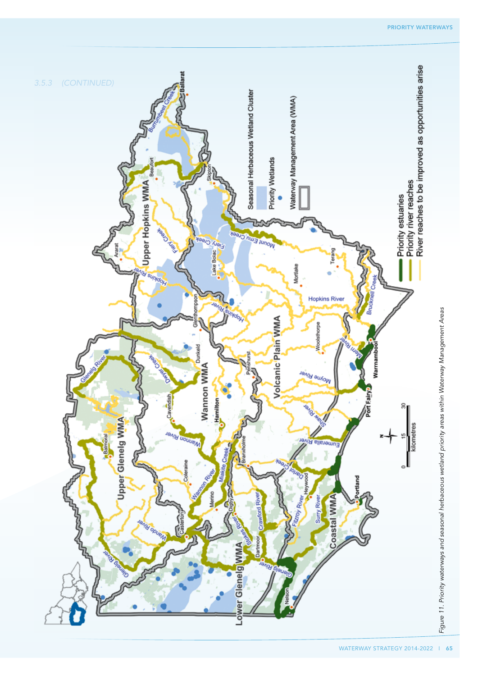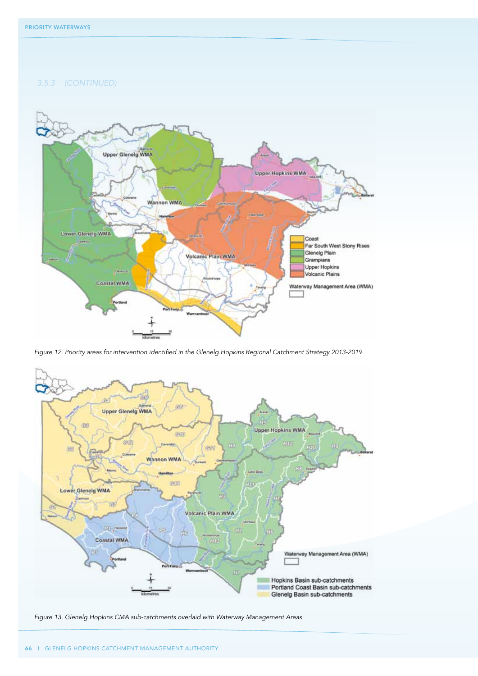*3.5.3 (Continued)*



*Figure 12. Priority areas for intervention identified in the Glenelg Hopkins Regional Catchment Strategy 2013-2019*



*Figure 13. Glenelg Hopkins CMA sub-catchments overlaid with Waterway Management Areas*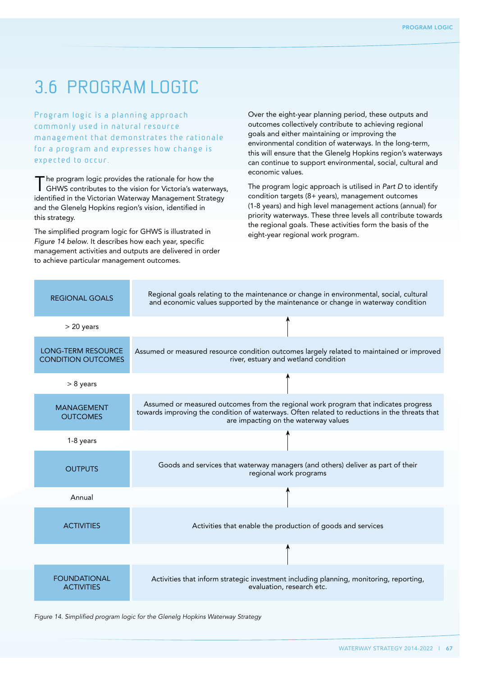## 3.6 Program logic

Program logic is a planning approach commonly used in natural resource management that demonstrates the rationale for a program and expresses how change is expected to occur.

The program logic provides the rationale for how the GHWS contributes to the vision for Victoria's waterways, identified in the Victorian Waterway Management Strategy and the Glenelg Hopkins region's vision, identified in this strategy.

The simplified program logic for GHWS is illustrated in *Figure 14 below*. It describes how each year, specific management activities and outputs are delivered in order to achieve particular management outcomes.

Over the eight-year planning period, these outputs and outcomes collectively contribute to achieving regional goals and either maintaining or improving the environmental condition of waterways. In the long-term, this will ensure that the Glenelg Hopkins region's waterways can continue to support environmental, social, cultural and economic values.

The program logic approach is utilised in *Part D* to identify condition targets (8+ years), management outcomes (1-8 years) and high level management actions (annual) for priority waterways. These three levels all contribute towards the regional goals. These activities form the basis of the eight-year regional work program.

| <b>REGIONAL GOALS</b>                                  | Regional goals relating to the maintenance or change in environmental, social, cultural<br>and economic values supported by the maintenance or change in waterway condition                                                  |
|--------------------------------------------------------|------------------------------------------------------------------------------------------------------------------------------------------------------------------------------------------------------------------------------|
| $> 20$ years                                           |                                                                                                                                                                                                                              |
| <b>LONG-TERM RESOURCE</b><br><b>CONDITION OUTCOMES</b> | Assumed or measured resource condition outcomes largely related to maintained or improved<br>river, estuary and wetland condition                                                                                            |
| $> 8$ years                                            |                                                                                                                                                                                                                              |
| <b>MANAGEMENT</b><br><b>OUTCOMES</b>                   | Assumed or measured outcomes from the regional work program that indicates progress<br>towards improving the condition of waterways. Often related to reductions in the threats that<br>are impacting on the waterway values |
| 1-8 years                                              |                                                                                                                                                                                                                              |
| <b>OUTPUTS</b>                                         | Goods and services that waterway managers (and others) deliver as part of their<br>regional work programs                                                                                                                    |
| Annual                                                 |                                                                                                                                                                                                                              |
| <b>ACTIVITIES</b>                                      | Activities that enable the production of goods and services                                                                                                                                                                  |
|                                                        |                                                                                                                                                                                                                              |
| <b>FOUNDATIONAL</b><br><b>ACTIVITIES</b>               | Activities that inform strategic investment including planning, monitoring, reporting,<br>evaluation, research etc.                                                                                                          |

*Figure 14. Simplified program logic for the Glenelg Hopkins Waterway Strategy*